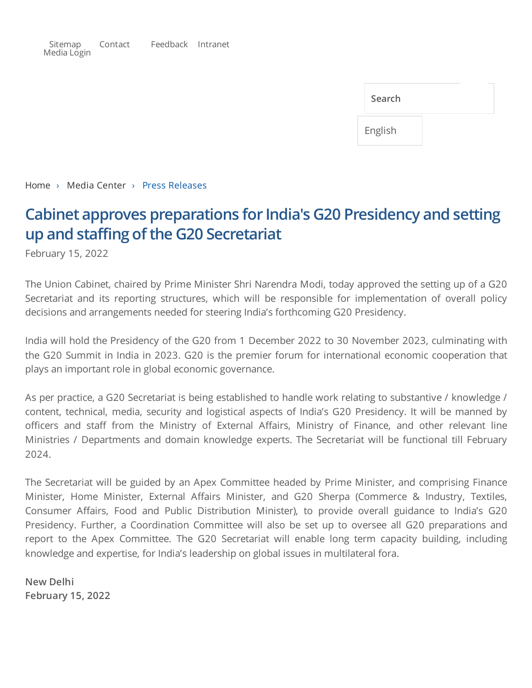[Sitemap](http://mea.gov.in/sitemap.htm) [Contact](http://mea.gov.in/contact-tele-inquiry.htm) [Feedback](http://mea.gov.in/feedback.htm) [Intranet](http://mea.gov.in/ifsonline.aspx) [Media](https://meacms.mea.gov.in/medialogin.aspx) Login

| Search  |  |
|---------|--|
| English |  |

[Home](http://mea.gov.in/index.htm) › Media Center › Press Releases

## **Cabinet approves preparations for India's G20 Presidency and setting up** and staffing of the G20 Secretariat

February 15, 2022

The Union Cabinet, chaired by Prime Minister Shri Narendra Modi, today approved the setting up of a G20 Secretariat and its reporting structures, which will be responsible for implementation of overall policy decisions and arrangements needed for steering India's forthcoming G20 Presidency.

India will hold the Presidency of the G20 from 1 December 2022 to 30 November 2023, culminating with the G20 Summit in India in 2023. G20 is the premier forum for international economic cooperation that plays an important role in global economic governance.

As per practice, a G20 Secretariat is being established to handle work relating to substantive / knowledge / content, technical, media, security and logistical aspects of India's G20 Presidency. It will be manned by officers and staff from the Ministry of External Affairs, Ministry of Finance, and other relevant line Ministries / Departments and domain knowledge experts. The Secretariat will be functional till February 2024.

The Secretariat will be guided by an Apex Committee headed by Prime Minister, and comprising Finance Minister, Home Minister, External Affairs Minister, and G20 Sherpa (Commerce & Industry, Textiles, Consumer Affairs, Food and Public Distribution Minister), to provide overall guidance to India's G20 Presidency. Further, a Coordination Committee will also be set up to oversee all G20 preparations and report to the Apex Committee. The G20 Secretariat will enable long term capacity building, including knowledge and expertise, for India's leadership on global issues in multilateral fora.

**New Delhi February 15, 2022**